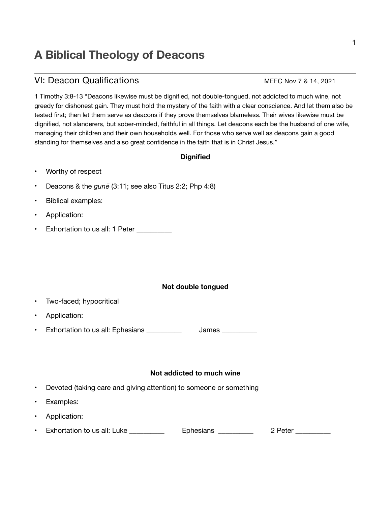# **A Biblical Theology of Deacons**

## VI: Deacon Qualifications MEFC Nov 7 & 14, 2021

1 Timothy 3:8-13 "Deacons likewise must be dignified, not double-tongued, not addicted to much wine, not greedy for dishonest gain. They must hold the mystery of the faith with a clear conscience. And let them also be tested first; then let them serve as deacons if they prove themselves blameless. Their wives likewise must be dignified, not slanderers, but sober-minded, faithful in all things. Let deacons each be the husband of one wife, managing their children and their own households well. For those who serve well as deacons gain a good standing for themselves and also great confidence in the faith that is in Christ Jesus."

### **Dignified**

- Worthy of respect
- Deacons & the *gunē* (3:11; see also Titus 2:2; Php 4:8)
- Biblical examples:
- Application:
- Exhortation to us all: 1 Peter

#### **Not double tongued**

- Two-faced; hypocritical
- Application:
- Exhortation to us all: Ephesians \_\_\_\_\_\_\_\_\_\_\_\_\_ James \_\_\_\_\_\_\_\_\_\_

#### **Not addicted to much wine**

- Devoted (taking care and giving attention) to someone or something
- Examples:
- Application:
- Exhortation to us all: Luke \_\_\_\_\_\_\_\_\_\_\_\_ Ephesians \_\_\_\_\_\_\_\_\_\_ 2 Peter \_\_\_\_\_\_\_\_\_\_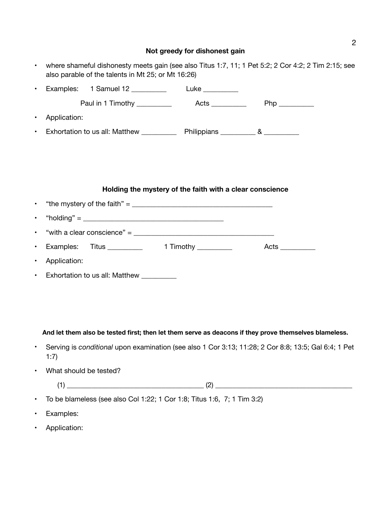# **Not greedy for dishonest gain**

|           | where shameful dishonesty meets gain (see also Titus 1:7, 11; 1 Pet 5:2; 2 Cor 4:2; 2 Tim 2:15; see<br>also parable of the talents in Mt 25; or Mt 16:26)                                                                                                                                                                                                |  |  |                                                                                                       |
|-----------|----------------------------------------------------------------------------------------------------------------------------------------------------------------------------------------------------------------------------------------------------------------------------------------------------------------------------------------------------------|--|--|-------------------------------------------------------------------------------------------------------|
| ٠         |                                                                                                                                                                                                                                                                                                                                                          |  |  |                                                                                                       |
|           |                                                                                                                                                                                                                                                                                                                                                          |  |  |                                                                                                       |
|           | Application:                                                                                                                                                                                                                                                                                                                                             |  |  |                                                                                                       |
|           | Exhortation to us all: Matthew ____________ Philippians ___________ & __________                                                                                                                                                                                                                                                                         |  |  |                                                                                                       |
|           |                                                                                                                                                                                                                                                                                                                                                          |  |  |                                                                                                       |
|           |                                                                                                                                                                                                                                                                                                                                                          |  |  |                                                                                                       |
|           |                                                                                                                                                                                                                                                                                                                                                          |  |  |                                                                                                       |
|           | Holding the mystery of the faith with a clear conscience<br>"the mystery of the faith" = $\frac{1}{2}$ = $\frac{1}{2}$ = $\frac{1}{2}$ = $\frac{1}{2}$ = $\frac{1}{2}$ = $\frac{1}{2}$ = $\frac{1}{2}$ = $\frac{1}{2}$ = $\frac{1}{2}$ = $\frac{1}{2}$ = $\frac{1}{2}$ = $\frac{1}{2}$ = $\frac{1}{2}$ = $\frac{1}{2}$ = $\frac{1}{2}$ = $\frac{1}{2}$ = |  |  |                                                                                                       |
| $\bullet$ |                                                                                                                                                                                                                                                                                                                                                          |  |  |                                                                                                       |
|           |                                                                                                                                                                                                                                                                                                                                                          |  |  |                                                                                                       |
|           | "with a clear conscience" = $\frac{1}{2}$                                                                                                                                                                                                                                                                                                                |  |  |                                                                                                       |
|           | Examples:                                                                                                                                                                                                                                                                                                                                                |  |  | Acts __________                                                                                       |
|           | Application:                                                                                                                                                                                                                                                                                                                                             |  |  |                                                                                                       |
| $\bullet$ | Exhortation to us all: Matthew __________                                                                                                                                                                                                                                                                                                                |  |  |                                                                                                       |
|           |                                                                                                                                                                                                                                                                                                                                                          |  |  |                                                                                                       |
|           |                                                                                                                                                                                                                                                                                                                                                          |  |  |                                                                                                       |
|           |                                                                                                                                                                                                                                                                                                                                                          |  |  |                                                                                                       |
|           |                                                                                                                                                                                                                                                                                                                                                          |  |  | And let them also be tested first; then let them serve as deacons if they prove themselves blameless. |
|           |                                                                                                                                                                                                                                                                                                                                                          |  |  |                                                                                                       |
|           | Serving is conditional upon examination (see also 1 Cor 3:13; 11:28; 2 Cor 8:8; 13:5; Gal 6:4; 1 Pet<br>1:7)                                                                                                                                                                                                                                             |  |  |                                                                                                       |
|           | What should be tested?                                                                                                                                                                                                                                                                                                                                   |  |  |                                                                                                       |
|           |                                                                                                                                                                                                                                                                                                                                                          |  |  | $(1)$ (1)                                                                                             |
|           | To be blameless (see also Col 1:22; 1 Cor 1:8; Titus 1:6, 7; 1 Tim 3:2)                                                                                                                                                                                                                                                                                  |  |  |                                                                                                       |
|           | Examples:                                                                                                                                                                                                                                                                                                                                                |  |  |                                                                                                       |

• Application: